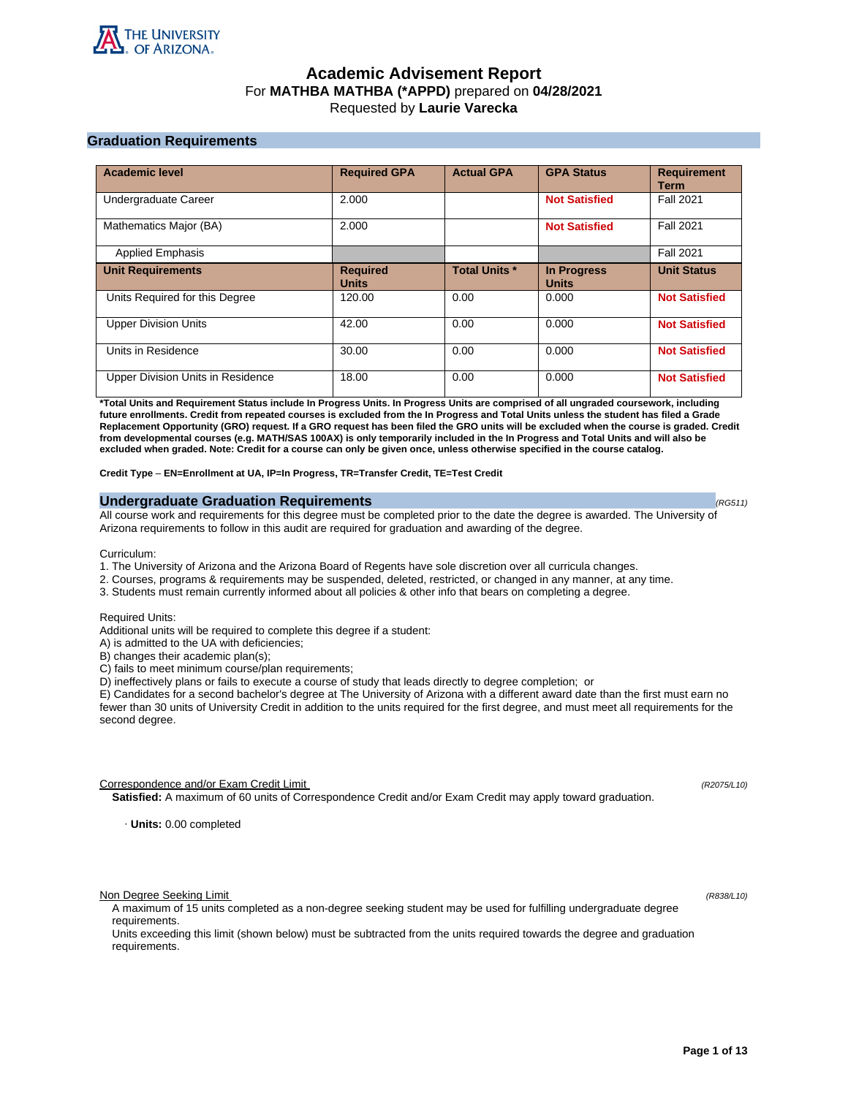

# **Academic Advisement Report** For **MATHBA MATHBA (\*APPD)** prepared on **04/28/2021** Requested by **Laurie Varecka**

# **Graduation Requirements**

| <b>Academic level</b>             | <b>Required GPA</b>             | <b>Actual GPA</b>    | <b>GPA Status</b>                  | <b>Requirement</b><br><b>Term</b> |
|-----------------------------------|---------------------------------|----------------------|------------------------------------|-----------------------------------|
| Undergraduate Career              | 2.000                           |                      | <b>Not Satisfied</b>               | <b>Fall 2021</b>                  |
| Mathematics Major (BA)            | 2.000                           |                      | <b>Not Satisfied</b>               | <b>Fall 2021</b>                  |
| <b>Applied Emphasis</b>           |                                 |                      |                                    | <b>Fall 2021</b>                  |
| <b>Unit Requirements</b>          | <b>Required</b><br><b>Units</b> | <b>Total Units *</b> | <b>In Progress</b><br><b>Units</b> | <b>Unit Status</b>                |
| Units Required for this Degree    | 120.00                          | 0.00                 | 0.000                              | <b>Not Satisfied</b>              |
| <b>Upper Division Units</b>       | 42.00                           | 0.00                 | 0.000                              | <b>Not Satisfied</b>              |
| Units in Residence                | 30.00                           | 0.00                 | 0.000                              | <b>Not Satisfied</b>              |
| Upper Division Units in Residence | 18.00                           | 0.00                 | 0.000                              | <b>Not Satisfied</b>              |

**\*Total Units and Requirement Status include In Progress Units. In Progress Units are comprised of all ungraded coursework, including future enrollments. Credit from repeated courses is excluded from the In Progress and Total Units unless the student has filed a Grade Replacement Opportunity (GRO) request. If a GRO request has been filed the GRO units will be excluded when the course is graded. Credit from developmental courses (e.g. MATH/SAS 100AX) is only temporarily included in the In Progress and Total Units and will also be excluded when graded. Note: Credit for a course can only be given once, unless otherwise specified in the course catalog.**

**Credit Type** – **EN=Enrollment at UA, IP=In Progress, TR=Transfer Credit, TE=Test Credit**

## **Undergraduate Graduation Requirements (RG511) (RG511) (RG511) (RG511)**

All course work and requirements for this degree must be completed prior to the date the degree is awarded. The University of Arizona requirements to follow in this audit are required for graduation and awarding of the degree.

Curriculum:

- 1. The University of Arizona and the Arizona Board of Regents have sole discretion over all curricula changes.
- 2. Courses, programs & requirements may be suspended, deleted, restricted, or changed in any manner, at any time.
- 3. Students must remain currently informed about all policies & other info that bears on completing a degree.

Required Units:

Additional units will be required to complete this degree if a student:

A) is admitted to the UA with deficiencies;

B) changes their academic plan(s);

C) fails to meet minimum course/plan requirements;

D) ineffectively plans or fails to execute a course of study that leads directly to degree completion; or

E) Candidates for a second bachelor's degree at The University of Arizona with a different award date than the first must earn no fewer than 30 units of University Credit in addition to the units required for the first degree, and must meet all requirements for the second degree.

Correspondence and/or Exam Credit Limit (R2075/L10) (R2075/L10)

**Satisfied:** A maximum of 60 units of Correspondence Credit and/or Exam Credit may apply toward graduation.

· **Units:** 0.00 completed

Non Degree Seeking Limit (R838/L10)

A maximum of 15 units completed as a non-degree seeking student may be used for fulfilling undergraduate degree requirements.

Units exceeding this limit (shown below) must be subtracted from the units required towards the degree and graduation requirements.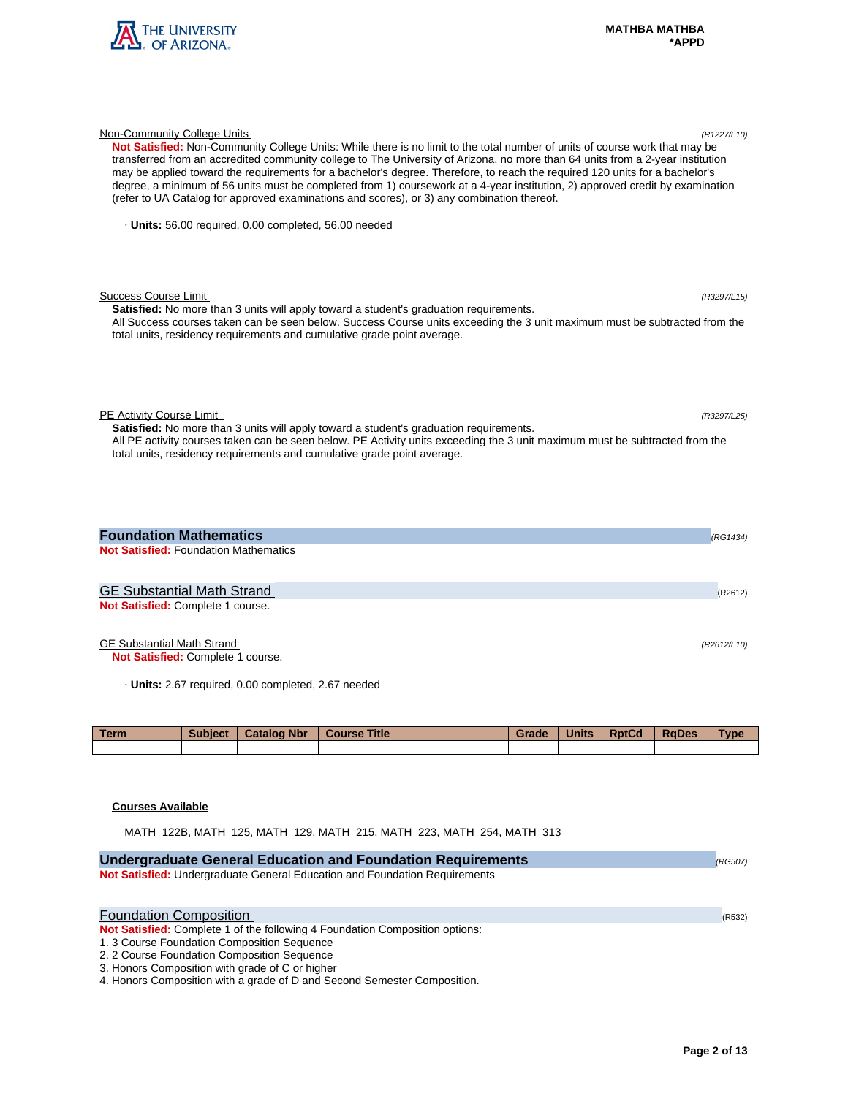

| Not Satisfied: Non-Community College Units: While there is no limit to the total number of units of course work that may be<br>transferred from an accredited community college to The University of Arizona, no more than 64 units from a 2-year institution<br>may be applied toward the requirements for a bachelor's degree. Therefore, to reach the required 120 units for a bachelor's<br>degree, a minimum of 56 units must be completed from 1) coursework at a 4-year institution, 2) approved credit by examination<br>(refer to UA Catalog for approved examinations and scores), or 3) any combination thereof. |  |
|-----------------------------------------------------------------------------------------------------------------------------------------------------------------------------------------------------------------------------------------------------------------------------------------------------------------------------------------------------------------------------------------------------------------------------------------------------------------------------------------------------------------------------------------------------------------------------------------------------------------------------|--|
| · Units: 56.00 required, 0.00 completed, 56.00 needed                                                                                                                                                                                                                                                                                                                                                                                                                                                                                                                                                                       |  |
| <b>Success Course Limit</b><br>(R3297/L15)<br><b>Satisfied:</b> No more than 3 units will apply toward a student's graduation requirements.                                                                                                                                                                                                                                                                                                                                                                                                                                                                                 |  |
| All Success courses taken can be seen below. Success Course units exceeding the 3 unit maximum must be subtracted from the<br>total units, residency requirements and cumulative grade point average.                                                                                                                                                                                                                                                                                                                                                                                                                       |  |
| PE Activity Course Limit<br>(R3297/L25)<br>Satisfied: No more than 3 units will apply toward a student's graduation requirements.                                                                                                                                                                                                                                                                                                                                                                                                                                                                                           |  |
| All PE activity courses taken can be seen below. PE Activity units exceeding the 3 unit maximum must be subtracted from the<br>total units, residency requirements and cumulative grade point average.                                                                                                                                                                                                                                                                                                                                                                                                                      |  |
| <b>Foundation Mathematics</b><br>(RG1434)                                                                                                                                                                                                                                                                                                                                                                                                                                                                                                                                                                                   |  |
| <b>Not Satisfied: Foundation Mathematics</b>                                                                                                                                                                                                                                                                                                                                                                                                                                                                                                                                                                                |  |
| <b>GE Substantial Math Strand</b><br>(R2612)                                                                                                                                                                                                                                                                                                                                                                                                                                                                                                                                                                                |  |
| Not Satisfied: Complete 1 course.                                                                                                                                                                                                                                                                                                                                                                                                                                                                                                                                                                                           |  |

Non-Community College Units (R1227/L10)

# GE Substantial Math Strand (R2612/L10)

**Not Satisfied:** Complete 1 course.

· **Units:** 2.67 required, 0.00 completed, 2.67 needed

| <b>Term</b> | Subject | <b>Catalog Nbr</b> | <b>Course Title</b> | Grade | <b>Units</b> | <b>RptCd</b> | <b>RaDes</b> | Type |
|-------------|---------|--------------------|---------------------|-------|--------------|--------------|--------------|------|
|             |         |                    |                     |       |              |              |              |      |

# **Courses Available**

MATH 122B, MATH 125, MATH 129, MATH 215, MATH 223, MATH 254, MATH 313

| <b>Undergraduate General Education and Foundation Requirements</b>                                                                                                                                                                                             | (RG507) |
|----------------------------------------------------------------------------------------------------------------------------------------------------------------------------------------------------------------------------------------------------------------|---------|
| Not Satisfied: Undergraduate General Education and Foundation Requirements                                                                                                                                                                                     |         |
| <b>Foundation Composition</b><br>Not Satisfied: Complete 1 of the following 4 Foundation Composition options:<br>1. 3 Course Foundation Composition Sequence<br>2. 2 Course Foundation Composition Sequence<br>3. Honors Composition with grade of C or higher | (R532)  |
| 4. Honors Composition with a grade of D and Second Semester Composition.                                                                                                                                                                                       |         |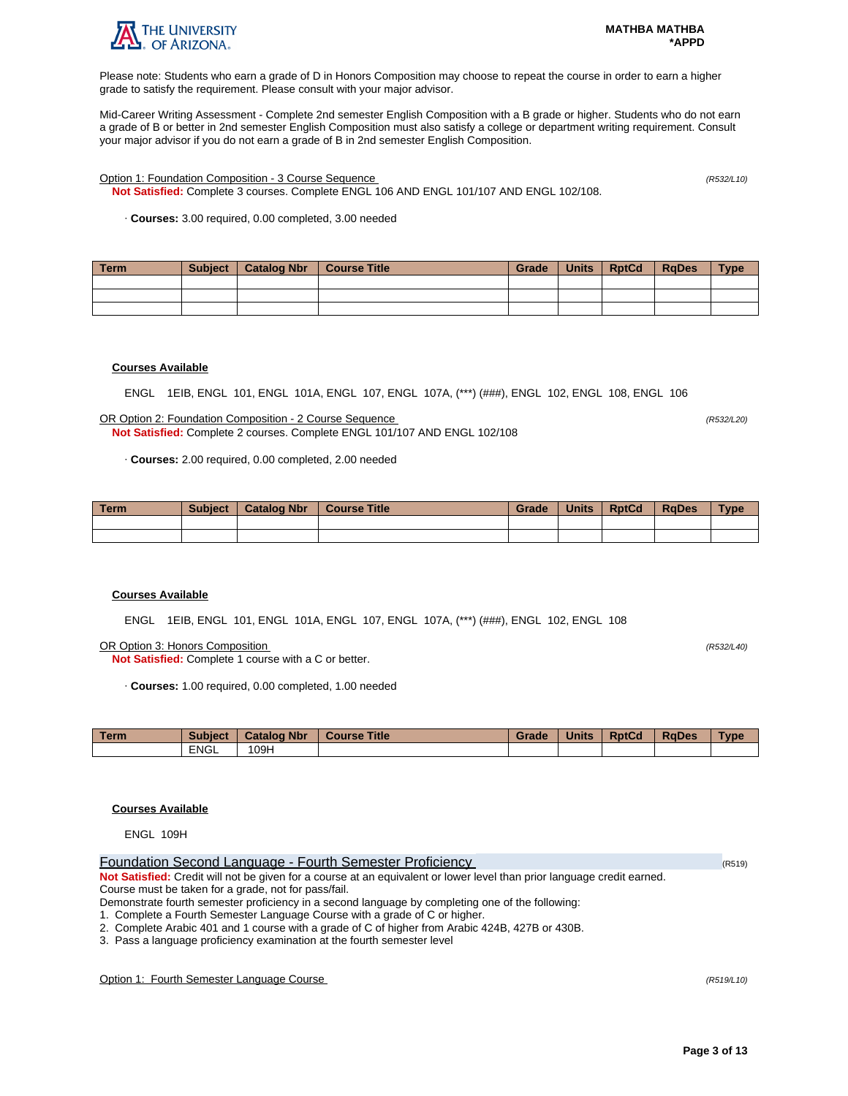

Please note: Students who earn a grade of D in Honors Composition may choose to repeat the course in order to earn a higher grade to satisfy the requirement. Please consult with your major advisor.

Mid-Career Writing Assessment - Complete 2nd semester English Composition with a B grade or higher. Students who do not earn a grade of B or better in 2nd semester English Composition must also satisfy a college or department writing requirement. Consult your major advisor if you do not earn a grade of B in 2nd semester English Composition.

Option 1: Foundation Composition - 3 Course Sequence (R532/L10)

**Not Satisfied:** Complete 3 courses. Complete ENGL 106 AND ENGL 101/107 AND ENGL 102/108.

· **Courses:** 3.00 required, 0.00 completed, 3.00 needed

| Term | <b>Subject</b> | Catalog Nbr | Course Title | Grade | Units | <b>RptCd</b> | <b>RaDes</b> | <b>Type</b> |
|------|----------------|-------------|--------------|-------|-------|--------------|--------------|-------------|
|      |                |             |              |       |       |              |              |             |
|      |                |             |              |       |       |              |              |             |
|      |                |             |              |       |       |              |              |             |

## **Courses Available**

ENGL 1EIB, ENGL 101, ENGL 101A, ENGL 107, ENGL 107A, (\*\*\*) (###), ENGL 102, ENGL 108, ENGL 106

OR Option 2: Foundation Composition - 2 Course Sequence (R532/L20) **Not Satisfied:** Complete 2 courses. Complete ENGL 101/107 AND ENGL 102/108

· **Courses:** 2.00 required, 0.00 completed, 2.00 needed

| <b>Term</b> | <b>Subject</b> | <b>Catalog Nbr</b> | <b>Course Title</b> | Grade | <b>Units</b> | <b>RptCd</b> | <b>RaDes</b> | Type |
|-------------|----------------|--------------------|---------------------|-------|--------------|--------------|--------------|------|
|             |                |                    |                     |       |              |              |              |      |
|             |                |                    |                     |       |              |              |              |      |

## **Courses Available**

ENGL 1EIB, ENGL 101, ENGL 101A, ENGL 107, ENGL 107A, (\*\*\*) (###), ENGL 102, ENGL 108

OR Option 3: Honors Composition (R532/L40)

**Not Satisfied:** Complete 1 course with a C or better.

· **Courses:** 1.00 required, 0.00 completed, 1.00 needed

| <b>Term</b> | <b>Subject</b> | <b>Catalog Nbr</b> | <b>Course Title</b> | Grade | <b>Units</b> | <b>RptCd</b> | <b>RaDes</b> | Type |
|-------------|----------------|--------------------|---------------------|-------|--------------|--------------|--------------|------|
|             | <b>ENGL</b>    | 09H                |                     |       |              |              |              |      |

## **Courses Available**

ENGL 109H

| Foundation Second Language - Fourth Semester Proficiency                                                                | (R519) |
|-------------------------------------------------------------------------------------------------------------------------|--------|
| Not Satisfied: Credit will not be given for a course at an equivalent or lower level than prior language credit earned. |        |
| Course must be taken for a grade, not for pass/fail.                                                                    |        |
| Demonstrate fourth semester proficiency in a second language by completing one of the following:                        |        |
|                                                                                                                         |        |

1. Complete a Fourth Semester Language Course with a grade of C or higher.

2. Complete Arabic 401 and 1 course with a grade of C of higher from Arabic 424B, 427B or 430B.

3. Pass a language proficiency examination at the fourth semester level

Option 1: Fourth Semester Language Course (R519/L10)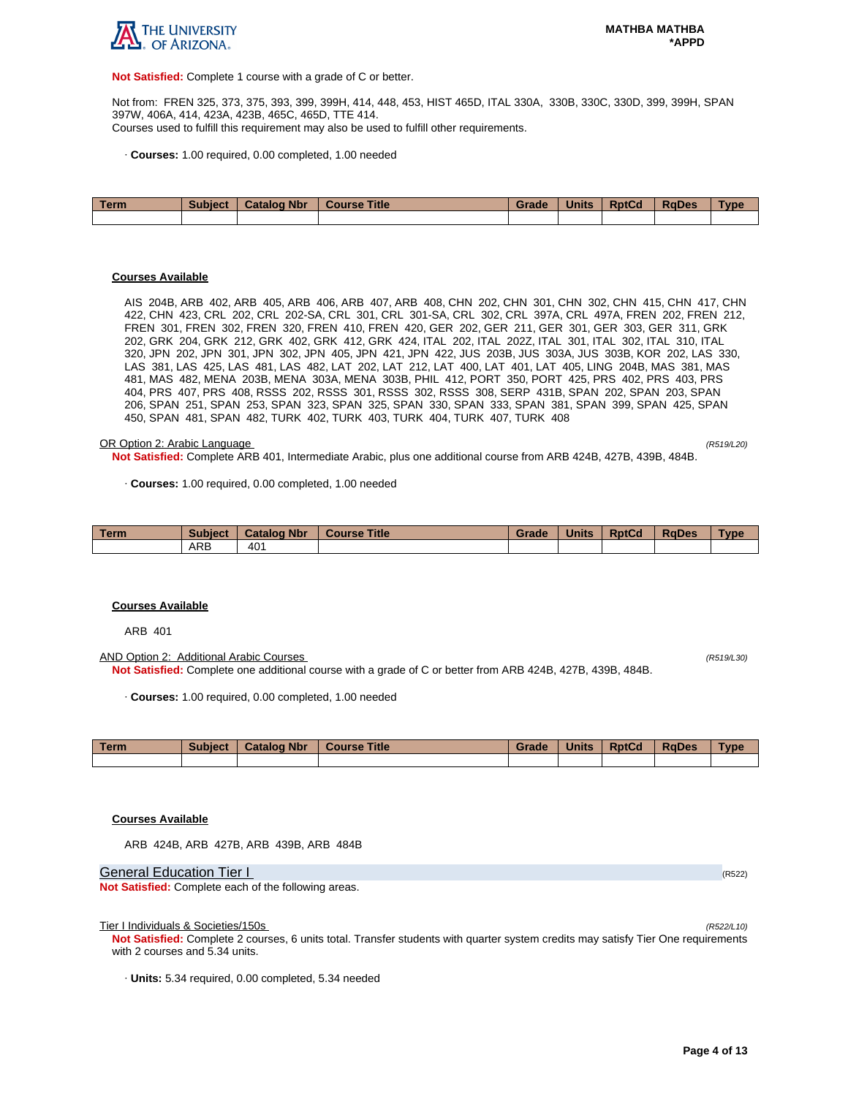

**Not Satisfied:** Complete 1 course with a grade of C or better.

Not from: FREN 325, 373, 375, 393, 399, 399H, 414, 448, 453, HIST 465D, ITAL 330A, 330B, 330C, 330D, 399, 399H, SPAN 397W, 406A, 414, 423A, 423B, 465C, 465D, TTE 414. Courses used to fulfill this requirement may also be used to fulfill other requirements.

· **Courses:** 1.00 required, 0.00 completed, 1.00 needed

| Term | <b>Subject</b> | <b>Catalog Nbr</b> | <b>Course Title</b> | Grade | <b>Units</b> | <b>RptCd</b> | <b>RaDes</b> | <b>Type</b> |
|------|----------------|--------------------|---------------------|-------|--------------|--------------|--------------|-------------|
|      |                |                    |                     |       |              |              |              |             |
|      |                |                    |                     |       |              |              |              |             |
|      |                |                    |                     |       |              |              |              |             |

#### **Courses Available**

AIS 204B, ARB 402, ARB 405, ARB 406, ARB 407, ARB 408, CHN 202, CHN 301, CHN 302, CHN 415, CHN 417, CHN 422, CHN 423, CRL 202, CRL 202-SA, CRL 301, CRL 301-SA, CRL 302, CRL 397A, CRL 497A, FREN 202, FREN 212, FREN 301, FREN 302, FREN 320, FREN 410, FREN 420, GER 202, GER 211, GER 301, GER 303, GER 311, GRK 202, GRK 204, GRK 212, GRK 402, GRK 412, GRK 424, ITAL 202, ITAL 202Z, ITAL 301, ITAL 302, ITAL 310, ITAL 320, JPN 202, JPN 301, JPN 302, JPN 405, JPN 421, JPN 422, JUS 203B, JUS 303A, JUS 303B, KOR 202, LAS 330, LAS 381, LAS 425, LAS 481, LAS 482, LAT 202, LAT 212, LAT 400, LAT 401, LAT 405, LING 204B, MAS 381, MAS 481, MAS 482, MENA 203B, MENA 303A, MENA 303B, PHIL 412, PORT 350, PORT 425, PRS 402, PRS 403, PRS 404, PRS 407, PRS 408, RSSS 202, RSSS 301, RSSS 302, RSSS 308, SERP 431B, SPAN 202, SPAN 203, SPAN 206, SPAN 251, SPAN 253, SPAN 323, SPAN 325, SPAN 330, SPAN 333, SPAN 381, SPAN 399, SPAN 425, SPAN 450, SPAN 481, SPAN 482, TURK 402, TURK 403, TURK 404, TURK 407, TURK 408

#### OR Option 2: Arabic Language (R519/L20)

**Not Satisfied:** Complete ARB 401, Intermediate Arabic, plus one additional course from ARB 424B, 427B, 439B, 484B.

· **Courses:** 1.00 required, 0.00 completed, 1.00 needed

| <b>Term</b> | <b>Subject</b> | <b>Catalog Nbr</b> | <b>Title</b><br>Course | Grade | <b>Units</b> | <b>RptCd</b> | <b>RaDes</b> | <b>Type</b> |
|-------------|----------------|--------------------|------------------------|-------|--------------|--------------|--------------|-------------|
|             | ARP            | 40 <sup>4</sup>    |                        |       |              |              |              |             |

#### **Courses Available**

ARB 401

AND Option 2: Additional Arabic Courses (R519/L30) **Not Satisfied:** Complete one additional course with a grade of C or better from ARB 424B, 427B, 439B, 484B.

· **Courses:** 1.00 required, 0.00 completed, 1.00 needed

| Term | <b>Subject</b> | <b>Catalog Nbr</b> | Course Title | Grade | <b>Units</b> | <b>RptCd</b> | <b>RaDes</b> | <b>Type</b> |
|------|----------------|--------------------|--------------|-------|--------------|--------------|--------------|-------------|
|      |                |                    |              |       |              |              |              |             |

## **Courses Available**

ARB 424B, ARB 427B, ARB 439B, ARB 484B

General Education Tier I (R522) (R522)

**Not Satisfied:** Complete each of the following areas.

Tier I Individuals & Societies/150s

**Not Satisfied:** Complete 2 courses, 6 units total. Transfer students with quarter system credits may satisfy Tier One requirements with 2 courses and 5.34 units.

· **Units:** 5.34 required, 0.00 completed, 5.34 needed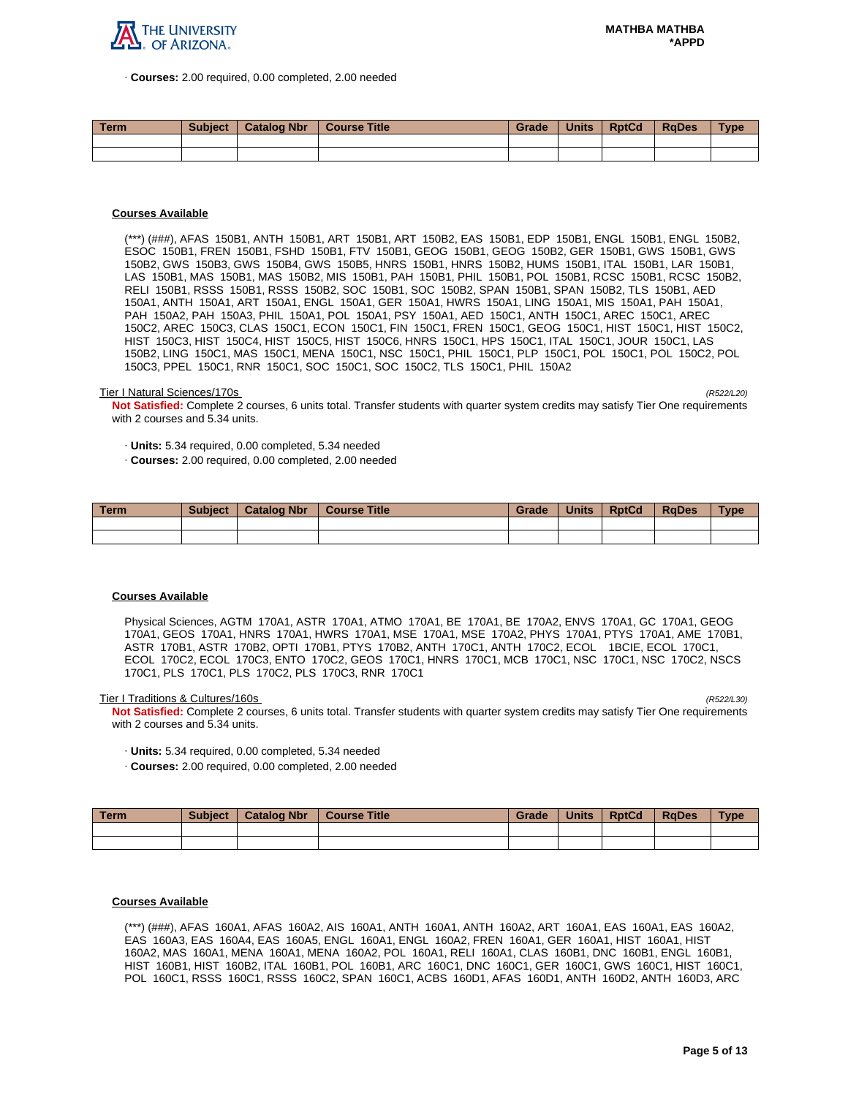

· **Courses:** 2.00 required, 0.00 completed, 2.00 needed

| <b>Term</b> | <b>Subject</b> | <b>Catalog Nbr</b> | <b>Course Title</b> | Grade | <b>Units</b> | <b>RptCd</b> | <b>RaDes</b> | $T$ ype |
|-------------|----------------|--------------------|---------------------|-------|--------------|--------------|--------------|---------|
|             |                |                    |                     |       |              |              |              |         |
|             |                |                    |                     |       |              |              |              |         |

## **Courses Available**

(\*\*\*) (###), AFAS 150B1, ANTH 150B1, ART 150B1, ART 150B2, EAS 150B1, EDP 150B1, ENGL 150B1, ENGL 150B2, ESOC 150B1, FREN 150B1, FSHD 150B1, FTV 150B1, GEOG 150B1, GEOG 150B2, GER 150B1, GWS 150B1, GWS 150B2, GWS 150B3, GWS 150B4, GWS 150B5, HNRS 150B1, HNRS 150B2, HUMS 150B1, ITAL 150B1, LAR 150B1, LAS 150B1, MAS 150B1, MAS 150B2, MIS 150B1, PAH 150B1, PHIL 150B1, POL 150B1, RCSC 150B1, RCSC 150B2, RELI 150B1, RSSS 150B1, RSSS 150B2, SOC 150B1, SOC 150B2, SPAN 150B1, SPAN 150B2, TLS 150B1, AED 150A1, ANTH 150A1, ART 150A1, ENGL 150A1, GER 150A1, HWRS 150A1, LING 150A1, MIS 150A1, PAH 150A1, PAH 150A2, PAH 150A3, PHIL 150A1, POL 150A1, PSY 150A1, AED 150C1, ANTH 150C1, AREC 150C1, AREC 150C2, AREC 150C3, CLAS 150C1, ECON 150C1, FIN 150C1, FREN 150C1, GEOG 150C1, HIST 150C1, HIST 150C2, HIST 150C3, HIST 150C4, HIST 150C5, HIST 150C6, HNRS 150C1, HPS 150C1, ITAL 150C1, JOUR 150C1, LAS 150B2, LING 150C1, MAS 150C1, MENA 150C1, NSC 150C1, PHIL 150C1, PLP 150C1, POL 150C1, POL 150C2, POL 150C3, PPEL 150C1, RNR 150C1, SOC 150C1, SOC 150C2, TLS 150C1, PHIL 150A2

#### Tier I Natural Sciences/170s (R522/L20)

**Not Satisfied:** Complete 2 courses, 6 units total. Transfer students with quarter system credits may satisfy Tier One requirements with 2 courses and 5.34 units.

· **Units:** 5.34 required, 0.00 completed, 5.34 needed

· **Courses:** 2.00 required, 0.00 completed, 2.00 needed

| Term | <b>Subject</b> | <b>Catalog Nbr</b> | <b>Course Title</b> | Grade | <b>Units</b> | <b>RptCd</b> | <b>RaDes</b> | <b>Type</b> |
|------|----------------|--------------------|---------------------|-------|--------------|--------------|--------------|-------------|
|      |                |                    |                     |       |              |              |              |             |
|      |                |                    |                     |       |              |              |              |             |

## **Courses Available**

Physical Sciences, AGTM 170A1, ASTR 170A1, ATMO 170A1, BE 170A1, BE 170A2, ENVS 170A1, GC 170A1, GEOG 170A1, GEOS 170A1, HNRS 170A1, HWRS 170A1, MSE 170A1, MSE 170A2, PHYS 170A1, PTYS 170A1, AME 170B1, ASTR 170B1, ASTR 170B2, OPTI 170B1, PTYS 170B2, ANTH 170C1, ANTH 170C2, ECOL 1BCIE, ECOL 170C1, ECOL 170C2, ECOL 170C3, ENTO 170C2, GEOS 170C1, HNRS 170C1, MCB 170C1, NSC 170C1, NSC 170C2, NSCS 170C1, PLS 170C1, PLS 170C2, PLS 170C3, RNR 170C1

Tier I Traditions & Cultures/160s

**Not Satisfied:** Complete 2 courses, 6 units total. Transfer students with quarter system credits may satisfy Tier One requirements with 2 courses and 5.34 units.

- · **Units:** 5.34 required, 0.00 completed, 5.34 needed
- · **Courses:** 2.00 required, 0.00 completed, 2.00 needed

| Term. | <b>Subject</b> | <b>Catalog Nbr</b> | Course Title | Grade | <b>Units</b> | <b>RptCd</b> | RaDes | <b>Type</b> |
|-------|----------------|--------------------|--------------|-------|--------------|--------------|-------|-------------|
|       |                |                    |              |       |              |              |       |             |
|       |                |                    |              |       |              |              |       |             |

## **Courses Available**

(\*\*\*) (###), AFAS 160A1, AFAS 160A2, AIS 160A1, ANTH 160A1, ANTH 160A2, ART 160A1, EAS 160A1, EAS 160A2, EAS 160A3, EAS 160A4, EAS 160A5, ENGL 160A1, ENGL 160A2, FREN 160A1, GER 160A1, HIST 160A1, HIST 160A2, MAS 160A1, MENA 160A1, MENA 160A2, POL 160A1, RELI 160A1, CLAS 160B1, DNC 160B1, ENGL 160B1, HIST 160B1, HIST 160B2, ITAL 160B1, POL 160B1, ARC 160C1, DNC 160C1, GER 160C1, GWS 160C1, HIST 160C1, POL 160C1, RSSS 160C1, RSSS 160C2, SPAN 160C1, ACBS 160D1, AFAS 160D1, ANTH 160D2, ANTH 160D3, ARC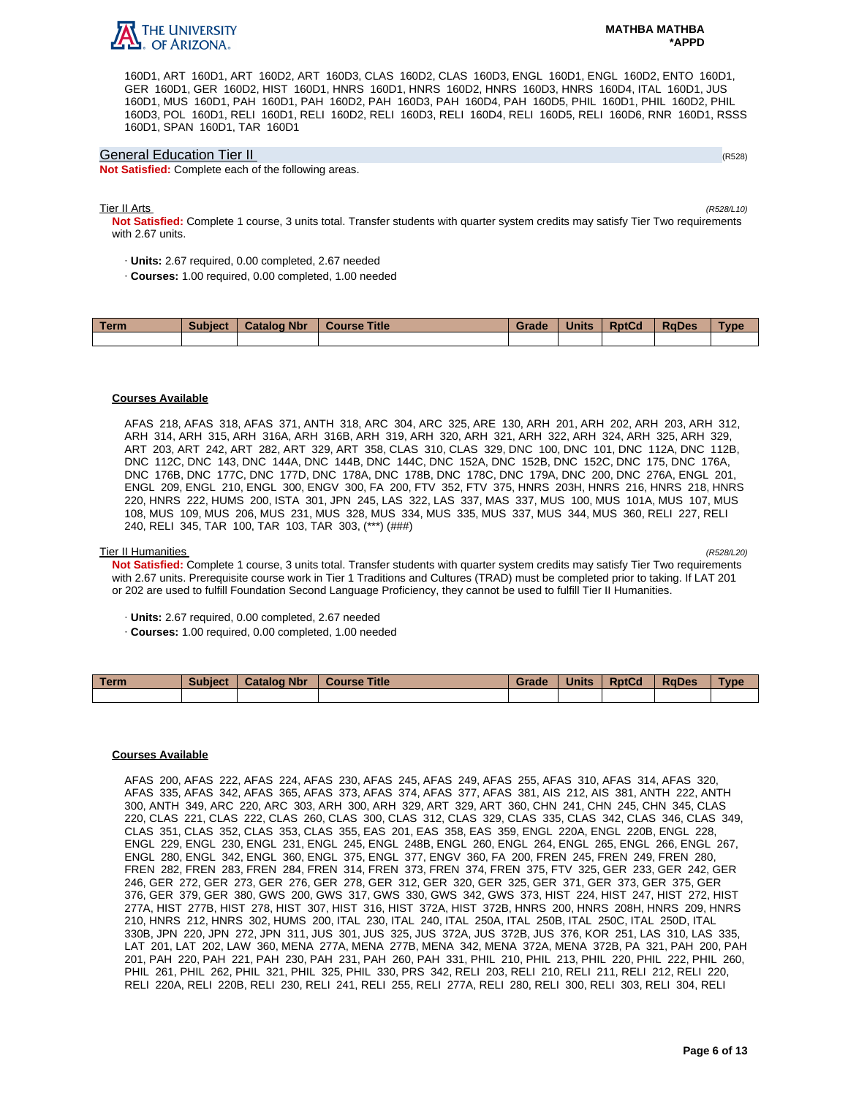

160D1, ART 160D1, ART 160D2, ART 160D3, CLAS 160D2, CLAS 160D3, ENGL 160D1, ENGL 160D2, ENTO 160D1, GER 160D1, GER 160D2, HIST 160D1, HNRS 160D1, HNRS 160D2, HNRS 160D3, HNRS 160D4, ITAL 160D1, JUS 160D1, MUS 160D1, PAH 160D1, PAH 160D2, PAH 160D3, PAH 160D4, PAH 160D5, PHIL 160D1, PHIL 160D2, PHIL 160D3, POL 160D1, RELI 160D1, RELI 160D2, RELI 160D3, RELI 160D4, RELI 160D5, RELI 160D6, RNR 160D1, RSSS 160D1, SPAN 160D1, TAR 160D1

## General Education Tier II (R528)

**Not Satisfied:** Complete each of the following areas.

#### Tier II Arts (R528/L10)

**Not Satisfied:** Complete 1 course, 3 units total. Transfer students with quarter system credits may satisfy Tier Two requirements with 2.67 units.

- · **Units:** 2.67 required, 0.00 completed, 2.67 needed
- · **Courses:** 1.00 required, 0.00 completed, 1.00 needed

| Term | <b>Subject</b> | <b>Catalog Nbr</b> | <b>Course Title</b> | Grade | <b>Units</b> | <b>RptCd</b> | <b>RaDes</b> | Type |
|------|----------------|--------------------|---------------------|-------|--------------|--------------|--------------|------|
|      |                |                    |                     |       |              |              |              |      |

## **Courses Available**

AFAS 218, AFAS 318, AFAS 371, ANTH 318, ARC 304, ARC 325, ARE 130, ARH 201, ARH 202, ARH 203, ARH 312, ARH 314, ARH 315, ARH 316A, ARH 316B, ARH 319, ARH 320, ARH 321, ARH 322, ARH 324, ARH 325, ARH 329, ART 203, ART 242, ART 282, ART 329, ART 358, CLAS 310, CLAS 329, DNC 100, DNC 101, DNC 112A, DNC 112B, DNC 112C, DNC 143, DNC 144A, DNC 144B, DNC 144C, DNC 152A, DNC 152B, DNC 152C, DNC 175, DNC 176A, DNC 176B, DNC 177C, DNC 177D, DNC 178A, DNC 178B, DNC 178C, DNC 179A, DNC 200, DNC 276A, ENGL 201, ENGL 209, ENGL 210, ENGL 300, ENGV 300, FA 200, FTV 352, FTV 375, HNRS 203H, HNRS 216, HNRS 218, HNRS 220, HNRS 222, HUMS 200, ISTA 301, JPN 245, LAS 322, LAS 337, MAS 337, MUS 100, MUS 101A, MUS 107, MUS 108, MUS 109, MUS 206, MUS 231, MUS 328, MUS 334, MUS 335, MUS 337, MUS 344, MUS 360, RELI 227, RELI 240, RELI 345, TAR 100, TAR 103, TAR 303, (\*\*\*) (###)

## Tier II Humanities (R528/L20)

**Not Satisfied:** Complete 1 course, 3 units total. Transfer students with quarter system credits may satisfy Tier Two requirements with 2.67 units. Prerequisite course work in Tier 1 Traditions and Cultures (TRAD) must be completed prior to taking. If LAT 201 or 202 are used to fulfill Foundation Second Language Proficiency, they cannot be used to fulfill Tier II Humanities.

- · **Units:** 2.67 required, 0.00 completed, 2.67 needed
- · **Courses:** 1.00 required, 0.00 completed, 1.00 needed

| <b>Term</b> | <b>Subject</b> | <b>Catalog Nbr</b> | <b>Course Title</b> | Grade | <b>Units</b> | <b>RptCd</b> | <b>RaDes</b> | Type |
|-------------|----------------|--------------------|---------------------|-------|--------------|--------------|--------------|------|
|             |                |                    |                     |       |              |              |              |      |

## **Courses Available**

AFAS 200, AFAS 222, AFAS 224, AFAS 230, AFAS 245, AFAS 249, AFAS 255, AFAS 310, AFAS 314, AFAS 320, AFAS 335, AFAS 342, AFAS 365, AFAS 373, AFAS 374, AFAS 377, AFAS 381, AIS 212, AIS 381, ANTH 222, ANTH 300, ANTH 349, ARC 220, ARC 303, ARH 300, ARH 329, ART 329, ART 360, CHN 241, CHN 245, CHN 345, CLAS 220, CLAS 221, CLAS 222, CLAS 260, CLAS 300, CLAS 312, CLAS 329, CLAS 335, CLAS 342, CLAS 346, CLAS 349, CLAS 351, CLAS 352, CLAS 353, CLAS 355, EAS 201, EAS 358, EAS 359, ENGL 220A, ENGL 220B, ENGL 228, ENGL 229, ENGL 230, ENGL 231, ENGL 245, ENGL 248B, ENGL 260, ENGL 264, ENGL 265, ENGL 266, ENGL 267, ENGL 280, ENGL 342, ENGL 360, ENGL 375, ENGL 377, ENGV 360, FA 200, FREN 245, FREN 249, FREN 280, FREN 282, FREN 283, FREN 284, FREN 314, FREN 373, FREN 374, FREN 375, FTV 325, GER 233, GER 242, GER 246, GER 272, GER 273, GER 276, GER 278, GER 312, GER 320, GER 325, GER 371, GER 373, GER 375, GER 376, GER 379, GER 380, GWS 200, GWS 317, GWS 330, GWS 342, GWS 373, HIST 224, HIST 247, HIST 272, HIST 277A, HIST 277B, HIST 278, HIST 307, HIST 316, HIST 372A, HIST 372B, HNRS 200, HNRS 208H, HNRS 209, HNRS 210, HNRS 212, HNRS 302, HUMS 200, ITAL 230, ITAL 240, ITAL 250A, ITAL 250B, ITAL 250C, ITAL 250D, ITAL 330B, JPN 220, JPN 272, JPN 311, JUS 301, JUS 325, JUS 372A, JUS 372B, JUS 376, KOR 251, LAS 310, LAS 335, LAT 201, LAT 202, LAW 360, MENA 277A, MENA 277B, MENA 342, MENA 372A, MENA 372B, PA 321, PAH 200, PAH 201, PAH 220, PAH 221, PAH 230, PAH 231, PAH 260, PAH 331, PHIL 210, PHIL 213, PHIL 220, PHIL 222, PHIL 260, PHIL 261, PHIL 262, PHIL 321, PHIL 325, PHIL 330, PRS 342, RELI 203, RELI 210, RELI 211, RELI 212, RELI 220, RELI 220A, RELI 220B, RELI 230, RELI 241, RELI 255, RELI 277A, RELI 280, RELI 300, RELI 303, RELI 304, RELI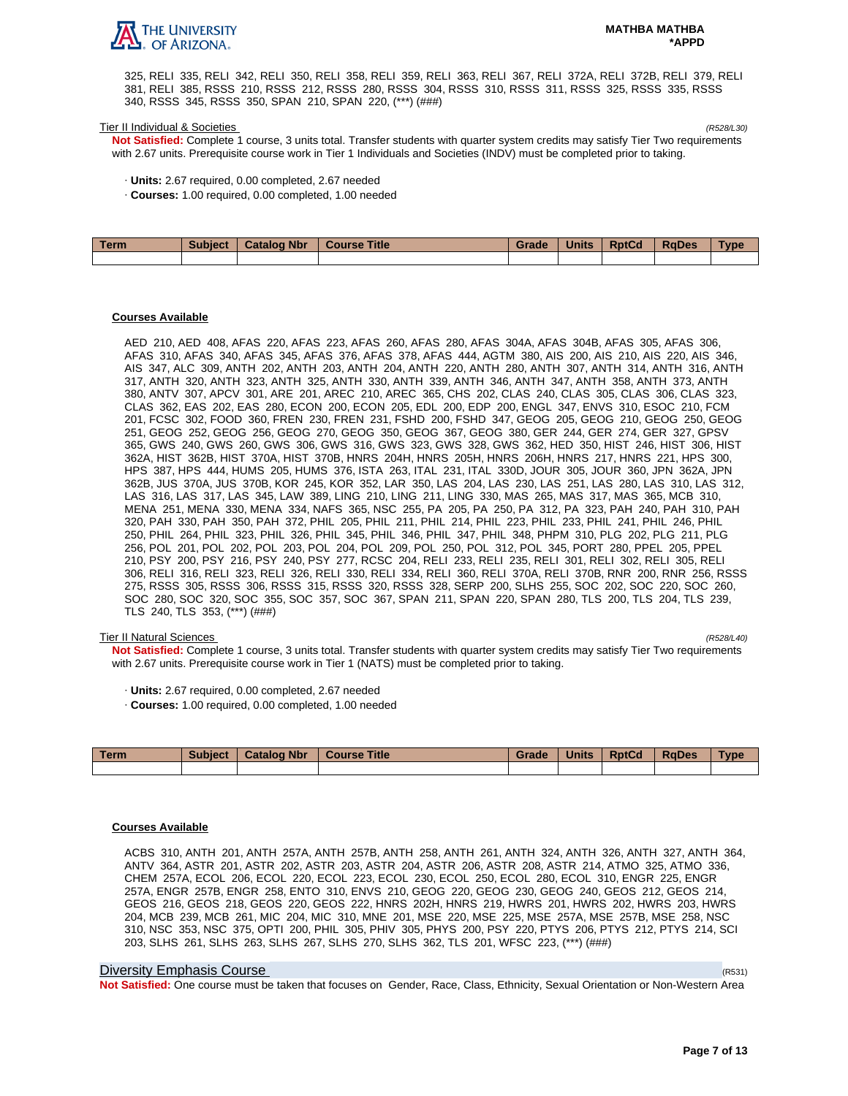

325, RELI 335, RELI 342, RELI 350, RELI 358, RELI 359, RELI 363, RELI 367, RELI 372A, RELI 372B, RELI 379, RELI 381, RELI 385, RSSS 210, RSSS 212, RSSS 280, RSSS 304, RSSS 310, RSSS 311, RSSS 325, RSSS 335, RSSS 340, RSSS 345, RSSS 350, SPAN 210, SPAN 220, (\*\*\*) (###)

#### Tier II Individual & Societies (R528/L30)

**Not Satisfied:** Complete 1 course, 3 units total. Transfer students with quarter system credits may satisfy Tier Two requirements with 2.67 units. Prerequisite course work in Tier 1 Individuals and Societies (INDV) must be completed prior to taking.

- · **Units:** 2.67 required, 0.00 completed, 2.67 needed
- · **Courses:** 1.00 required, 0.00 completed, 1.00 needed

| Term | Subject   Catalog Nbr | Course Title | Grade | <b>Units</b> | <b>RptCd</b> | <b>RaDes</b> | <b>Type</b> |
|------|-----------------------|--------------|-------|--------------|--------------|--------------|-------------|
|      |                       |              |       |              |              |              |             |

## **Courses Available**

AED 210, AED 408, AFAS 220, AFAS 223, AFAS 260, AFAS 280, AFAS 304A, AFAS 304B, AFAS 305, AFAS 306, AFAS 310, AFAS 340, AFAS 345, AFAS 376, AFAS 378, AFAS 444, AGTM 380, AIS 200, AIS 210, AIS 220, AIS 346, AIS 347, ALC 309, ANTH 202, ANTH 203, ANTH 204, ANTH 220, ANTH 280, ANTH 307, ANTH 314, ANTH 316, ANTH 317, ANTH 320, ANTH 323, ANTH 325, ANTH 330, ANTH 339, ANTH 346, ANTH 347, ANTH 358, ANTH 373, ANTH 380, ANTV 307, APCV 301, ARE 201, AREC 210, AREC 365, CHS 202, CLAS 240, CLAS 305, CLAS 306, CLAS 323, CLAS 362, EAS 202, EAS 280, ECON 200, ECON 205, EDL 200, EDP 200, ENGL 347, ENVS 310, ESOC 210, FCM 201, FCSC 302, FOOD 360, FREN 230, FREN 231, FSHD 200, FSHD 347, GEOG 205, GEOG 210, GEOG 250, GEOG 251, GEOG 252, GEOG 256, GEOG 270, GEOG 350, GEOG 367, GEOG 380, GER 244, GER 274, GER 327, GPSV 365, GWS 240, GWS 260, GWS 306, GWS 316, GWS 323, GWS 328, GWS 362, HED 350, HIST 246, HIST 306, HIST 362A, HIST 362B, HIST 370A, HIST 370B, HNRS 204H, HNRS 205H, HNRS 206H, HNRS 217, HNRS 221, HPS 300, HPS 387, HPS 444, HUMS 205, HUMS 376, ISTA 263, ITAL 231, ITAL 330D, JOUR 305, JOUR 360, JPN 362A, JPN 362B, JUS 370A, JUS 370B, KOR 245, KOR 352, LAR 350, LAS 204, LAS 230, LAS 251, LAS 280, LAS 310, LAS 312, LAS 316, LAS 317, LAS 345, LAW 389, LING 210, LING 211, LING 330, MAS 265, MAS 317, MAS 365, MCB 310, MENA 251, MENA 330, MENA 334, NAFS 365, NSC 255, PA 205, PA 250, PA 312, PA 323, PAH 240, PAH 310, PAH 320, PAH 330, PAH 350, PAH 372, PHIL 205, PHIL 211, PHIL 214, PHIL 223, PHIL 233, PHIL 241, PHIL 246, PHIL 250, PHIL 264, PHIL 323, PHIL 326, PHIL 345, PHIL 346, PHIL 347, PHIL 348, PHPM 310, PLG 202, PLG 211, PLG 256, POL 201, POL 202, POL 203, POL 204, POL 209, POL 250, POL 312, POL 345, PORT 280, PPEL 205, PPEL 210, PSY 200, PSY 216, PSY 240, PSY 277, RCSC 204, RELI 233, RELI 235, RELI 301, RELI 302, RELI 305, RELI 306, RELI 316, RELI 323, RELI 326, RELI 330, RELI 334, RELI 360, RELI 370A, RELI 370B, RNR 200, RNR 256, RSSS 275, RSSS 305, RSSS 306, RSSS 315, RSSS 320, RSSS 328, SERP 200, SLHS 255, SOC 202, SOC 220, SOC 260, SOC 280, SOC 320, SOC 355, SOC 357, SOC 367, SPAN 211, SPAN 220, SPAN 280, TLS 200, TLS 204, TLS 239, TLS 240, TLS 353, (\*\*\*) (###)

## Tier II Natural Sciences (R528/L40)

**Not Satisfied:** Complete 1 course, 3 units total. Transfer students with quarter system credits may satisfy Tier Two requirements with 2.67 units. Prerequisite course work in Tier 1 (NATS) must be completed prior to taking.

- · **Units:** 2.67 required, 0.00 completed, 2.67 needed
- · **Courses:** 1.00 required, 0.00 completed, 1.00 needed

| Term | <b>Subject</b> | <b>Catalog Nbr</b> | <b>Course Title</b> | Grade | Units | <b>RptCd</b> | <b>RaDes</b> | <b>Type</b> |
|------|----------------|--------------------|---------------------|-------|-------|--------------|--------------|-------------|
|      |                |                    |                     |       |       |              |              |             |

## **Courses Available**

ACBS 310, ANTH 201, ANTH 257A, ANTH 257B, ANTH 258, ANTH 261, ANTH 324, ANTH 326, ANTH 327, ANTH 364, ANTV 364, ASTR 201, ASTR 202, ASTR 203, ASTR 204, ASTR 206, ASTR 208, ASTR 214, ATMO 325, ATMO 336, CHEM 257A, ECOL 206, ECOL 220, ECOL 223, ECOL 230, ECOL 250, ECOL 280, ECOL 310, ENGR 225, ENGR 257A, ENGR 257B, ENGR 258, ENTO 310, ENVS 210, GEOG 220, GEOG 230, GEOG 240, GEOS 212, GEOS 214, GEOS 216, GEOS 218, GEOS 220, GEOS 222, HNRS 202H, HNRS 219, HWRS 201, HWRS 202, HWRS 203, HWRS 204, MCB 239, MCB 261, MIC 204, MIC 310, MNE 201, MSE 220, MSE 225, MSE 257A, MSE 257B, MSE 258, NSC 310, NSC 353, NSC 375, OPTI 200, PHIL 305, PHIV 305, PHYS 200, PSY 220, PTYS 206, PTYS 212, PTYS 214, SCI 203, SLHS 261, SLHS 263, SLHS 267, SLHS 270, SLHS 362, TLS 201, WFSC 223, (\*\*\*) (###)

## Diversity Emphasis Course (R531)

**Not Satisfied:** One course must be taken that focuses on Gender, Race, Class, Ethnicity, Sexual Orientation or Non-Western Area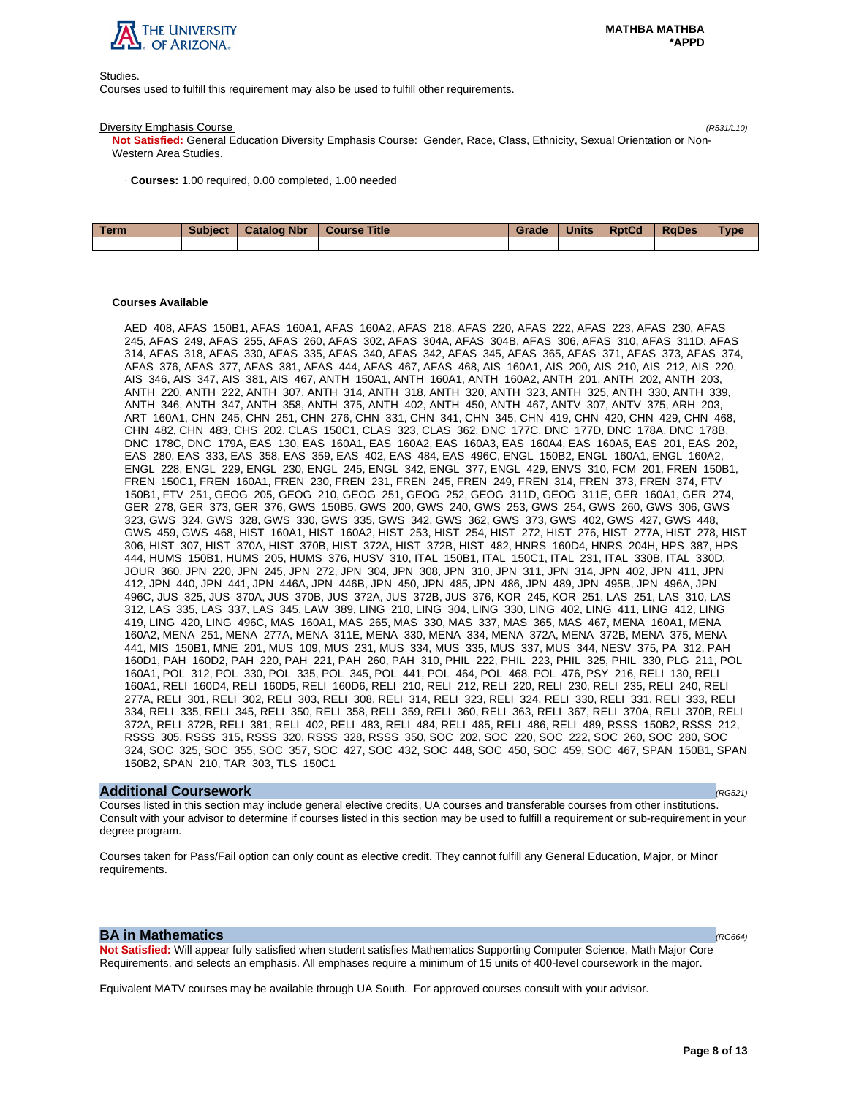

Studies.

Courses used to fulfill this requirement may also be used to fulfill other requirements.

#### Diversity Emphasis Course (R531/L10)

**Not Satisfied:** General Education Diversity Emphasis Course: Gender, Race, Class, Ethnicity, Sexual Orientation or Non-Western Area Studies.

· **Courses:** 1.00 required, 0.00 completed, 1.00 needed

| <b>Term</b> | <b>Subject</b> | <b>Catalog Nbr</b> | Course Title | Grade | <b>Units</b> | <b>RptCd</b> | RaDes | <b>Type</b> |
|-------------|----------------|--------------------|--------------|-------|--------------|--------------|-------|-------------|
|             |                |                    |              |       |              |              |       |             |

## **Courses Available**

AED 408, AFAS 150B1, AFAS 160A1, AFAS 160A2, AFAS 218, AFAS 220, AFAS 222, AFAS 223, AFAS 230, AFAS 245, AFAS 249, AFAS 255, AFAS 260, AFAS 302, AFAS 304A, AFAS 304B, AFAS 306, AFAS 310, AFAS 311D, AFAS 314, AFAS 318, AFAS 330, AFAS 335, AFAS 340, AFAS 342, AFAS 345, AFAS 365, AFAS 371, AFAS 373, AFAS 374, AFAS 376, AFAS 377, AFAS 381, AFAS 444, AFAS 467, AFAS 468, AIS 160A1, AIS 200, AIS 210, AIS 212, AIS 220, AIS 346, AIS 347, AIS 381, AIS 467, ANTH 150A1, ANTH 160A1, ANTH 160A2, ANTH 201, ANTH 202, ANTH 203, ANTH 220, ANTH 222, ANTH 307, ANTH 314, ANTH 318, ANTH 320, ANTH 323, ANTH 325, ANTH 330, ANTH 339, ANTH 346, ANTH 347, ANTH 358, ANTH 375, ANTH 402, ANTH 450, ANTH 467, ANTV 307, ANTV 375, ARH 203, ART 160A1, CHN 245, CHN 251, CHN 276, CHN 331, CHN 341, CHN 345, CHN 419, CHN 420, CHN 429, CHN 468, CHN 482, CHN 483, CHS 202, CLAS 150C1, CLAS 323, CLAS 362, DNC 177C, DNC 177D, DNC 178A, DNC 178B, DNC 178C, DNC 179A, EAS 130, EAS 160A1, EAS 160A2, EAS 160A3, EAS 160A4, EAS 160A5, EAS 201, EAS 202, EAS 280, EAS 333, EAS 358, EAS 359, EAS 402, EAS 484, EAS 496C, ENGL 150B2, ENGL 160A1, ENGL 160A2, ENGL 228, ENGL 229, ENGL 230, ENGL 245, ENGL 342, ENGL 377, ENGL 429, ENVS 310, FCM 201, FREN 150B1, FREN 150C1, FREN 160A1, FREN 230, FREN 231, FREN 245, FREN 249, FREN 314, FREN 373, FREN 374, FTV 150B1, FTV 251, GEOG 205, GEOG 210, GEOG 251, GEOG 252, GEOG 311D, GEOG 311E, GER 160A1, GER 274, GER 278, GER 373, GER 376, GWS 150B5, GWS 200, GWS 240, GWS 253, GWS 254, GWS 260, GWS 306, GWS 323, GWS 324, GWS 328, GWS 330, GWS 335, GWS 342, GWS 362, GWS 373, GWS 402, GWS 427, GWS 448, GWS 459, GWS 468, HIST 160A1, HIST 160A2, HIST 253, HIST 254, HIST 272, HIST 276, HIST 277A, HIST 278, HIST 306, HIST 307, HIST 370A, HIST 370B, HIST 372A, HIST 372B, HIST 482, HNRS 160D4, HNRS 204H, HPS 387, HPS 444, HUMS 150B1, HUMS 205, HUMS 376, HUSV 310, ITAL 150B1, ITAL 150C1, ITAL 231, ITAL 330B, ITAL 330D, JOUR 360, JPN 220, JPN 245, JPN 272, JPN 304, JPN 308, JPN 310, JPN 311, JPN 314, JPN 402, JPN 411, JPN 412, JPN 440, JPN 441, JPN 446A, JPN 446B, JPN 450, JPN 485, JPN 486, JPN 489, JPN 495B, JPN 496A, JPN 496C, JUS 325, JUS 370A, JUS 370B, JUS 372A, JUS 372B, JUS 376, KOR 245, KOR 251, LAS 251, LAS 310, LAS 312, LAS 335, LAS 337, LAS 345, LAW 389, LING 210, LING 304, LING 330, LING 402, LING 411, LING 412, LING 419, LING 420, LING 496C, MAS 160A1, MAS 265, MAS 330, MAS 337, MAS 365, MAS 467, MENA 160A1, MENA 160A2, MENA 251, MENA 277A, MENA 311E, MENA 330, MENA 334, MENA 372A, MENA 372B, MENA 375, MENA 441, MIS 150B1, MNE 201, MUS 109, MUS 231, MUS 334, MUS 335, MUS 337, MUS 344, NESV 375, PA 312, PAH 160D1, PAH 160D2, PAH 220, PAH 221, PAH 260, PAH 310, PHIL 222, PHIL 223, PHIL 325, PHIL 330, PLG 211, POL 160A1, POL 312, POL 330, POL 335, POL 345, POL 441, POL 464, POL 468, POL 476, PSY 216, RELI 130, RELI 160A1, RELI 160D4, RELI 160D5, RELI 160D6, RELI 210, RELI 212, RELI 220, RELI 230, RELI 235, RELI 240, RELI 277A, RELI 301, RELI 302, RELI 303, RELI 308, RELI 314, RELI 323, RELI 324, RELI 330, RELI 331, RELI 333, RELI 334, RELI 335, RELI 345, RELI 350, RELI 358, RELI 359, RELI 360, RELI 363, RELI 367, RELI 370A, RELI 370B, RELI 372A, RELI 372B, RELI 381, RELI 402, RELI 483, RELI 484, RELI 485, RELI 486, RELI 489, RSSS 150B2, RSSS 212, RSSS 305, RSSS 315, RSSS 320, RSSS 328, RSSS 350, SOC 202, SOC 220, SOC 222, SOC 260, SOC 280, SOC 324, SOC 325, SOC 355, SOC 357, SOC 427, SOC 432, SOC 448, SOC 450, SOC 459, SOC 467, SPAN 150B1, SPAN 150B2, SPAN 210, TAR 303, TLS 150C1

## **Additional Coursework** (RG521)

Courses listed in this section may include general elective credits, UA courses and transferable courses from other institutions. Consult with your advisor to determine if courses listed in this section may be used to fulfill a requirement or sub-requirement in your degree program.

Courses taken for Pass/Fail option can only count as elective credit. They cannot fulfill any General Education, Major, or Minor requirements.

## **BA in Mathematics**  $(RG664)$

**Not Satisfied:** Will appear fully satisfied when student satisfies Mathematics Supporting Computer Science, Math Major Core Requirements, and selects an emphasis. All emphases require a minimum of 15 units of 400-level coursework in the major.

Equivalent MATV courses may be available through UA South. For approved courses consult with your advisor.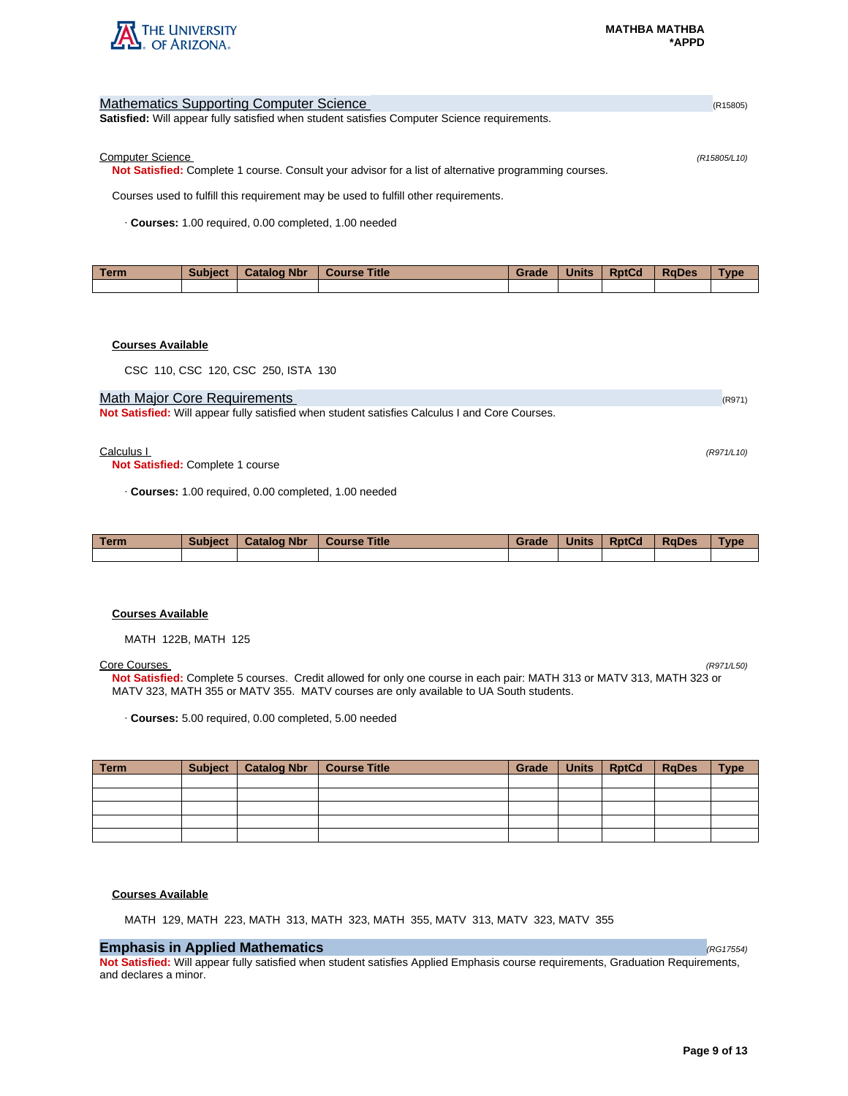

| <b>Mathematics Supporting Computer Science</b>                                                               | (R15805)     |
|--------------------------------------------------------------------------------------------------------------|--------------|
| <b>Satisfied:</b> Will appear fully satisfied when student satisfies Computer Science requirements.          |              |
|                                                                                                              |              |
| <b>Computer Science</b>                                                                                      | (R15805/L10) |
| <b>Not Satisfied:</b> Complete 1 course. Consult your advisor for a list of alternative programming courses. |              |
| Courses used to fulfill this requirement may be used to fulfill other requirements.                          |              |
| Courses: 1.00 required, 0.00 completed, 1.00 needed                                                          |              |

| Term | <b>Subject</b> | <b>Catalog Nbr</b> | <b>Course Title</b> | Grade | <b>Units</b> | <b>RptCd</b> | <b>RaDes</b> | <b>Vpe</b> |
|------|----------------|--------------------|---------------------|-------|--------------|--------------|--------------|------------|
|      |                |                    |                     |       |              |              |              |            |

## **Courses Available**

CSC 110, CSC 120, CSC 250, ISTA 130

## Math Major Core Requirements (R971) 2008 12:00 12:00 12:00 12:00 12:00 12:00 12:00 12:00 12:00 12:00 12:00 12:00 12:00 12:00 12:00 12:00 12:00 12:00 12:00 12:00 12:00 12:00 12:00 12:00 12:00 12:00 12:00 12:00 12:00 12:00 1

**Not Satisfied:** Will appear fully satisfied when student satisfies Calculus I and Core Courses.

## $Calculus 1$  (R971/L10)

**Not Satisfied:** Complete 1 course

· **Courses:** 1.00 required, 0.00 completed, 1.00 needed

| <b>Term</b> | <b>Subject</b> | <b>Catalog Nbr</b> | <b>Course Title</b> | Grade | <b>Units</b> | <b>RptCd</b> | <b>RaDes</b> | <b>Type</b> |
|-------------|----------------|--------------------|---------------------|-------|--------------|--------------|--------------|-------------|
|             |                |                    |                     |       |              |              |              |             |

## **Courses Available**

MATH 122B, MATH 125

## Core Courses (R971/L50)

**Not Satisfied:** Complete 5 courses. Credit allowed for only one course in each pair: MATH 313 or MATV 313, MATH 323 or MATV 323, MATH 355 or MATV 355. MATV courses are only available to UA South students.

· **Courses:** 5.00 required, 0.00 completed, 5.00 needed

| $\vert$ Term | Subject   Catalog Nbr   Course Title | Grade | Units   RptCd | RqDes | <b>Type</b> |
|--------------|--------------------------------------|-------|---------------|-------|-------------|
|              |                                      |       |               |       |             |
|              |                                      |       |               |       |             |
|              |                                      |       |               |       |             |
|              |                                      |       |               |       |             |
|              |                                      |       |               |       |             |

## **Courses Available**

MATH 129, MATH 223, MATH 313, MATH 323, MATH 355, MATV 313, MATV 323, MATV 355

# **Emphasis in Applied Mathematics** (RG17554) **(RG17554)**

**Not Satisfied:** Will appear fully satisfied when student satisfies Applied Emphasis course requirements, Graduation Requirements, and declares a minor.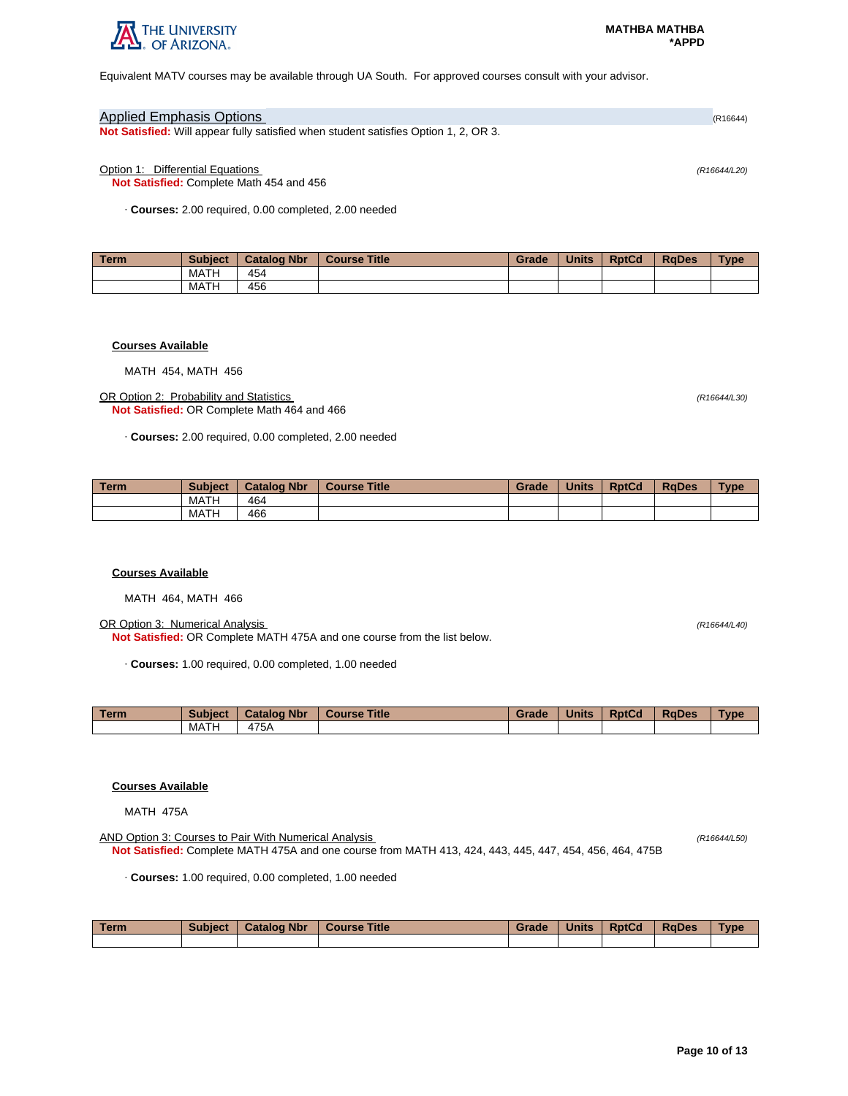

Equivalent MATV courses may be available through UA South. For approved courses consult with your advisor.

# Applied Emphasis Options (R16644) **Not Satisfied:** Will appear fully satisfied when student satisfies Option 1, 2, OR 3.

Option 1: Differential Equations (R16644/L20)

**Not Satisfied:** Complete Math 454 and 456

· **Courses:** 2.00 required, 0.00 completed, 2.00 needed

| Term. | <b>Subject</b> | <b>Catalog Nbr</b> | <b>Course Title</b> | Grade | <b>Units</b> | <b>RptCd</b> | <b>RaDes</b> | <b>Type</b> |
|-------|----------------|--------------------|---------------------|-------|--------------|--------------|--------------|-------------|
|       | MATH           | 454                |                     |       |              |              |              |             |
|       | MATH           | 456                |                     |       |              |              |              |             |

#### **Courses Available**

MATH 454, MATH 456

OR Option 2: Probability and Statistics (R16644/L30) **Not Satisfied:** OR Complete Math 464 and 466

· **Courses:** 2.00 required, 0.00 completed, 2.00 needed

| l Term | <b>Subject</b> | <b>Catalog Nbr</b> | <b>Course Title</b> | Grade | <b>Units</b> | <b>RptCd</b> | <b>RaDes</b> | <b>Type</b> |
|--------|----------------|--------------------|---------------------|-------|--------------|--------------|--------------|-------------|
|        | MATH           | 464                |                     |       |              |              |              |             |
|        | MATH           | 466                |                     |       |              |              |              |             |

## **Courses Available**

MATH 464, MATH 466

OR Option 3: Numerical Analysis (R16644/L40) **Not Satisfied:** OR Complete MATH 475A and one course from the list below.

· **Courses:** 1.00 required, 0.00 completed, 1.00 needed

| Term | <b>Subject</b> | <b>Catalog Nbr</b> | <b>Course Title</b> | Grade | <b>Units</b> | <b>RptCd</b> | <b>RaDes</b> | Type |
|------|----------------|--------------------|---------------------|-------|--------------|--------------|--------------|------|
|      | MATH           | 175A               |                     |       |              |              |              |      |

## **Courses Available**

MATH 475A

AND Option 3: Courses to Pair With Numerical Analysis (R16644/L50) (R16644/L50) **Not Satisfied:** Complete MATH 475A and one course from MATH 413, 424, 443, 445, 447, 454, 456, 464, 475B

· **Courses:** 1.00 required, 0.00 completed, 1.00 needed

| Term | <b>Subject</b> | <b>Catalog Nbr</b> | Course Title | Grade | <b>Units</b> | <b>RptCd</b> | RaDes | <b>Type</b> |
|------|----------------|--------------------|--------------|-------|--------------|--------------|-------|-------------|
|      |                |                    |              |       |              |              |       |             |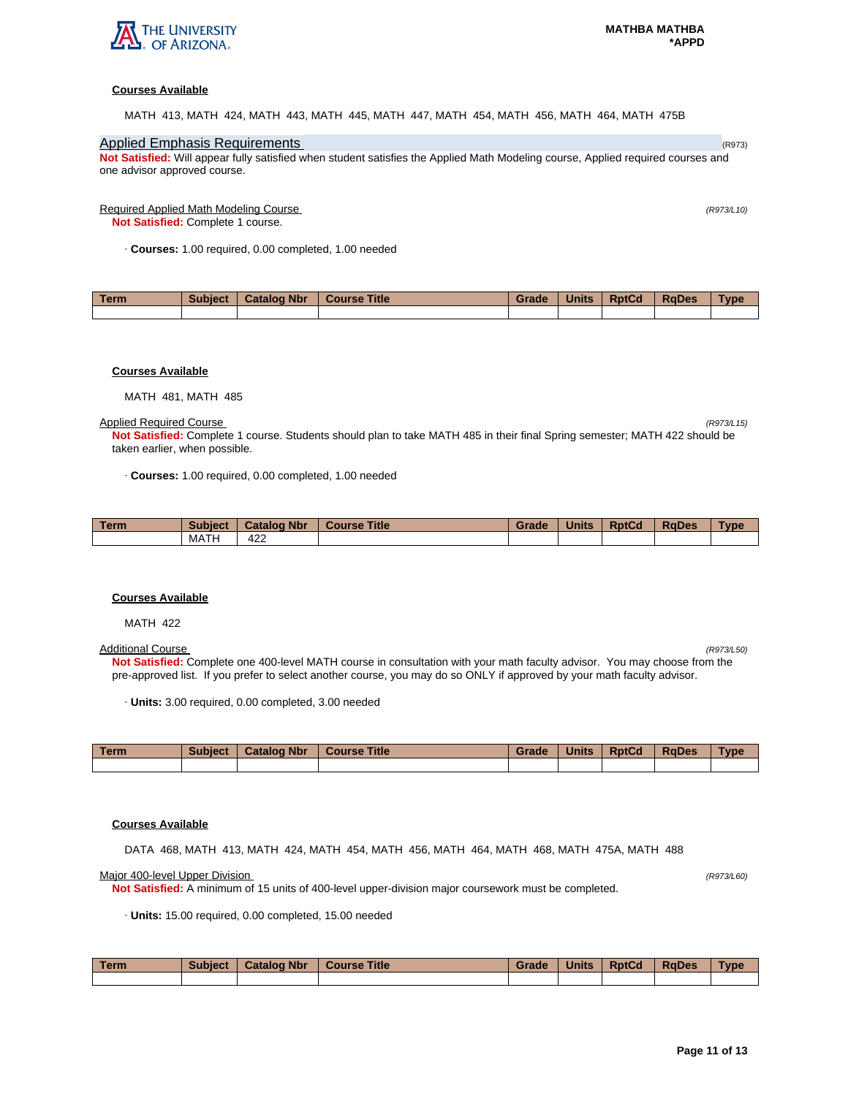

## **Courses Available**

MATH 413, MATH 424, MATH 443, MATH 445, MATH 447, MATH 454, MATH 456, MATH 464, MATH 475B

# Applied Emphasis Requirements (R973) Applied Emphasis Requirements (R973)

**Not Satisfied:** Will appear fully satisfied when student satisfies the Applied Math Modeling course, Applied required courses and one advisor approved course.

## Required Applied Math Modeling Course (R973/L10)

**Not Satisfied:** Complete 1 course.

· **Courses:** 1.00 required, 0.00 completed, 1.00 needed

| Term. | <b>Subject</b> | <b>Catalog Nbr</b> | <b>Course Title</b> | Grade | <b>Units</b> | <b>RptCd</b> | <b>RaDes</b> | <b>Type</b> |
|-------|----------------|--------------------|---------------------|-------|--------------|--------------|--------------|-------------|
|       |                |                    |                     |       |              |              |              |             |

#### **Courses Available**

MATH 481, MATH 485

Applied Required Course (R973/L15)

**Not Satisfied:** Complete 1 course. Students should plan to take MATH 485 in their final Spring semester; MATH 422 should be taken earlier, when possible.

· **Courses:** 1.00 required, 0.00 completed, 1.00 needed

| <b>Term</b> | <b>Subject</b> | <b>Catalog Nbr</b> | <b>Title</b><br><b>Course</b> | Grade | <b>Units</b> | <b>RptCd</b> | <b>RaDes</b> | <b>Type</b> |
|-------------|----------------|--------------------|-------------------------------|-------|--------------|--------------|--------------|-------------|
|             | MATH           | 422                |                               |       |              |              |              |             |

#### **Courses Available**

MATH 422

#### Additional Course (R973/L50)

**Not Satisfied:** Complete one 400-level MATH course in consultation with your math faculty advisor. You may choose from the pre-approved list. If you prefer to select another course, you may do so ONLY if approved by your math faculty advisor.

· **Units:** 3.00 required, 0.00 completed, 3.00 needed

| Term | <b>Subject</b> | <b>Catalog Nbr</b> | <b>Course Title</b> | Grade | <b>Units</b> | <b>RptCd</b> | <b>RaDes</b> | Type |
|------|----------------|--------------------|---------------------|-------|--------------|--------------|--------------|------|
|      |                |                    |                     |       |              |              |              |      |

## **Courses Available**

DATA 468, MATH 413, MATH 424, MATH 454, MATH 456, MATH 464, MATH 468, MATH 475A, MATH 488

Major 400-level Upper Division (R973/L60)

**Not Satisfied:** A minimum of 15 units of 400-level upper-division major coursework must be completed.

· **Units:** 15.00 required, 0.00 completed, 15.00 needed

| <b>Term</b> | <b>Subject</b> | <b>Catalog Nbr</b> | <b>Title</b><br><b>Course</b> | Grade | <b>Units</b> | <b>RptCd</b> | <b>RaDes</b> | Type |
|-------------|----------------|--------------------|-------------------------------|-------|--------------|--------------|--------------|------|
|             |                |                    |                               |       |              |              |              |      |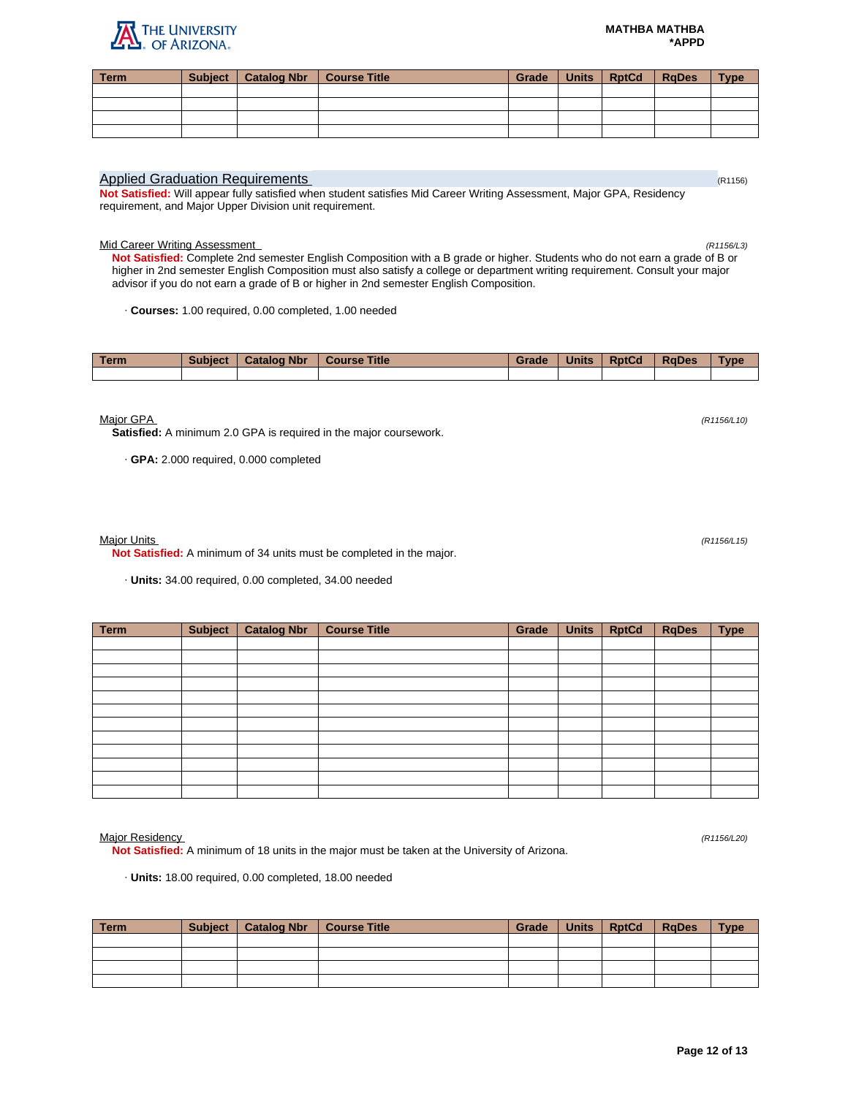## **Page 12 of 13**

#### **MATHBA MATHBA \*APPD**

| Term | <b>Subject</b> | Catalog Nbr   Course Title | <b>Grade</b> | Units   RptCd   RqDes | Type - |
|------|----------------|----------------------------|--------------|-----------------------|--------|
|      |                |                            |              |                       |        |
|      |                |                            |              |                       |        |
|      |                |                            |              |                       |        |
|      |                |                            |              |                       |        |
|      |                |                            |              |                       |        |

# Applied Graduation Requirements (R1156) Applied Graduation Requirements (R1156)

**Not Satisfied:** Will appear fully satisfied when student satisfies Mid Career Writing Assessment, Major GPA, Residency requirement, and Major Upper Division unit requirement.

## Mid Career Writing Assessment (R1156/L3)

**Not Satisfied:** Complete 2nd semester English Composition with a B grade or higher. Students who do not earn a grade of B or higher in 2nd semester English Composition must also satisfy a college or department writing requirement. Consult your major advisor if you do not earn a grade of B or higher in 2nd semester English Composition.

· **Courses:** 1.00 required, 0.00 completed, 1.00 needed

| <b>Term</b> | <b>Subject</b> | <b>Catalog Nbr</b> | <b>Course Title</b> | Grade | <b>Units</b> | <b>RptCd</b> | <b>RaDes</b> | <b>Type</b> |
|-------------|----------------|--------------------|---------------------|-------|--------------|--------------|--------------|-------------|
|             |                |                    |                     |       |              |              |              |             |

 $M$ ajor GPA (R1156/L10) (R1156/L10)

**Satisfied:** A minimum 2.0 GPA is required in the major coursework.

· **GPA:** 2.000 required, 0.000 completed

Major Units (R1156/L15)

**Not Satisfied:** A minimum of 34 units must be completed in the major.

· **Units:** 34.00 required, 0.00 completed, 34.00 needed

| <b>Term</b> | <b>Subject</b> | <b>Catalog Nbr</b> | <b>Course Title</b> | Grade | <b>Units</b> | <b>RptCd</b> | <b>RqDes</b> | <b>Type</b> |
|-------------|----------------|--------------------|---------------------|-------|--------------|--------------|--------------|-------------|
|             |                |                    |                     |       |              |              |              |             |
|             |                |                    |                     |       |              |              |              |             |
|             |                |                    |                     |       |              |              |              |             |
|             |                |                    |                     |       |              |              |              |             |
|             |                |                    |                     |       |              |              |              |             |
|             |                |                    |                     |       |              |              |              |             |
|             |                |                    |                     |       |              |              |              |             |
|             |                |                    |                     |       |              |              |              |             |
|             |                |                    |                     |       |              |              |              |             |
|             |                |                    |                     |       |              |              |              |             |
|             |                |                    |                     |       |              |              |              |             |
|             |                |                    |                     |       |              |              |              |             |

Major Residency (R1156/L20)

**Not Satisfied:** A minimum of 18 units in the major must be taken at the University of Arizona.

· **Units:** 18.00 required, 0.00 completed, 18.00 needed

| <b>Term</b> | Subject | Catalog Nbr | Course Title | Grade | <b>Units</b> | <b>RptCd</b> | <b>RaDes</b> | <b>Type</b> |
|-------------|---------|-------------|--------------|-------|--------------|--------------|--------------|-------------|
|             |         |             |              |       |              |              |              |             |
|             |         |             |              |       |              |              |              |             |
|             |         |             |              |       |              |              |              |             |
|             |         |             |              |       |              |              |              |             |

THE UNIVERSITY<br>L. OF ARIZONA.